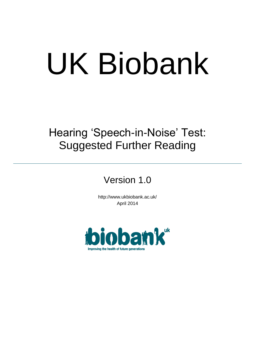# UK Biobank

Hearing 'Speech-in-Noise' Test: Suggested Further Reading

Version 1.0

http://www.ukbiobank.ac.uk/ April 2014

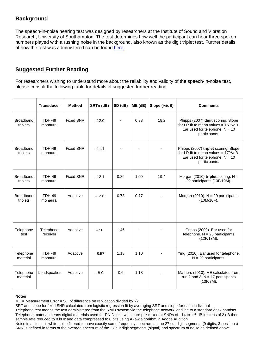## **Background**

The speech-in-noise hearing test was designed by researchers at the Institute of Sound and Vibration Research, University of Southampton. The test determines how well the participant can hear three spoken numbers played with a rushing noise in the background, also known as the digit triplet test. Further details of how the test was administered can be found [here.](http://biobank.ctsu.ox.ac.uk/crystal/refer.cgi?id=100233)

# **Suggested Further Reading**

For researchers wishing to understand more about the reliability and validity of the speech-in-noise test, please consult the following table for details of suggested further reading:

|                              | <b>Transducer</b>         | <b>Method</b>    | SRTn (dB) | SD (dB) | ME(dB) | Slope (%/dB) | <b>Comments</b>                                                                                                                      |
|------------------------------|---------------------------|------------------|-----------|---------|--------|--------------|--------------------------------------------------------------------------------------------------------------------------------------|
| Broadband<br>triplets        | <b>TDH-49</b><br>monaural | <b>Fixed SNR</b> | $-12.0$   |         | 0.33   | 18.2         | Phipps (2007) digit scoring. Slope<br>for LR fit to mean values = $16\%/dB$ .<br>Ear used for telephone. $N = 10$<br>participants.   |
| <b>Broadband</b><br>triplets | <b>TDH-49</b><br>monaural | <b>Fixed SNR</b> | $-11.1$   |         |        |              | Phipps (2007) triplet scoring. Slope<br>for LR fit to mean values = $17\%$ /dB.<br>Ear used for telephone. $N = 10$<br>participants. |
| Broadband<br>triplets        | <b>TDH-49</b><br>monaural | <b>Fixed SNR</b> | $-12.1$   | 0.86    | 1.09   | 19.4         | Morgan (2010) triplet scoring. $N =$<br>20 participants (10F/10M).                                                                   |
| Broadband<br>triplets        | <b>TDH-49</b><br>monaural | Adaptive         | $-12.6$   | 0.78    | 0.77   |              | Morgan (2010). $N = 20$ participants<br>(10M/10F).                                                                                   |
| Telephone<br>test            | Telephone<br>receiver     | Adaptive         | $-7.8$    | 1.46    |        |              | Cripps (2009). Ear used for<br>telephone. $N = 25$ participants<br>(12F/13M).                                                        |
| Telephone<br>material        | <b>TDH-49</b><br>monaural | Adaptive         | $-8.57$   | 1.18    | 1.10   |              | Ying (2010). Ear used for telephone.<br>$N = 20$ participants.                                                                       |
| Telephone<br>material        | Loudspeaker               | Adaptive         | $-8.9$    | 0.6     | 1.18   |              | Mathers (2010). ME calculated from<br>run 2 and 3. $N = 17$ participants<br>(13F/7M).                                                |

### **Notes**

ME = Measurement Error = SD of difference on replication divided by  $\sqrt{2}$ 

SRT and slope for fixed SNR calculated from logistic regression fit by averaging SRT and slope for each individual

Telephone test means the test administered from the RNID system via the telephone network landline to a standard desk handset Telephone material means digital materials used for RNID test, which are pre-mixed at SNRs of  $-14$  to  $+ 6$  dB in steps of 2 dB then sample rate reduced to 8 kHz and data compressed to 8 bits using A-law algorithm in Adobe Audition.

Noise in all tests is white noise filtered to have exactly same frequency spectrum as the 27 cut digit segments (9 digits, 3 positions) SNR is defined in terms of the average spectrum of the 27 cut digit segments (signal) and spectrum of noise as defined above.